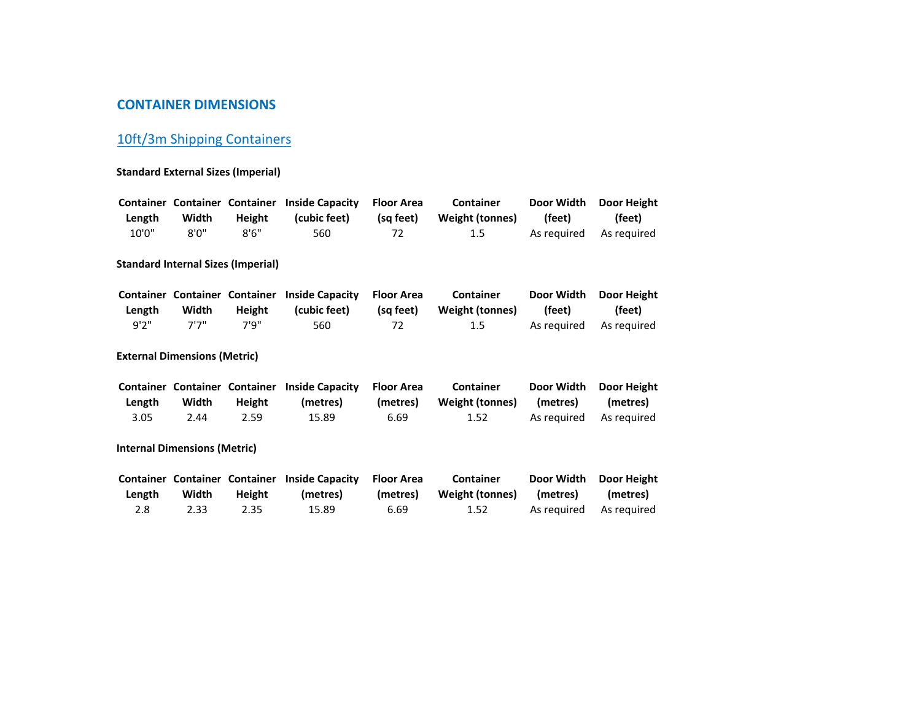## **CONTAINER DIMENSIONS**

# 10ft/3m Shipping Containers

#### **Standard External Sizes (Imperial)**

| Length | Width | Height                                         | Container Container Container Inside Capacity<br>(cubic feet) | <b>Floor Area</b><br>(sa feet) | Container<br>Weight (tonnes)               | Door Width<br>(feet) | Door Height<br>(feet) |
|--------|-------|------------------------------------------------|---------------------------------------------------------------|--------------------------------|--------------------------------------------|----------------------|-----------------------|
| 10'0'' | 8'0'' | 8'6''                                          | 560                                                           | 72                             | $1.5\,$                                    | As reguired          | As reguired           |
|        |       | <b>Standard Internal Sizes (Imperial)</b>      |                                                               |                                |                                            |                      |                       |
| Length | Width | <b>Container Container Container</b><br>Height | <b>Inside Capacity</b><br>(cubic feet)                        | <b>Floor Area</b><br>(sa feet) | <b>Container</b><br><b>Weight (tonnes)</b> | Door Width<br>(feet) | Door Height<br>(feet) |

**External Dimensions (Metric)**

7'7" 7'9" <sup>560</sup>

9'2"

|        |       |        | Container Container Container Inside Capacity Floor Area |          | <b>Container</b> |          | Door Width Door Height  |
|--------|-------|--------|----------------------------------------------------------|----------|------------------|----------|-------------------------|
| Length | Width | Height | (metres)                                                 | (metres) | Weight (tonnes)  | (metres) | (metres)                |
| 3.05   | 2.44  | 2.59   | 15.89                                                    | 6.69     | 1.52             |          | As reauired As reauired |

<sup>72</sup> 1.5 As required As required

**Internal Dimensions (Metric)**

|        |       |        | Container Container Container Inside Capacity Floor Area |      | <b>Container</b>         |                   | Door Width Door Height  |
|--------|-------|--------|----------------------------------------------------------|------|--------------------------|-------------------|-------------------------|
| Length | Width | Height | (metres)                                                 |      | (metres) Weight (tonnes) | (metres) (metres) |                         |
| 2.8    | 2.33  | 2.35   | 15.89                                                    | 6.69 | 1.52                     |                   | As required As required |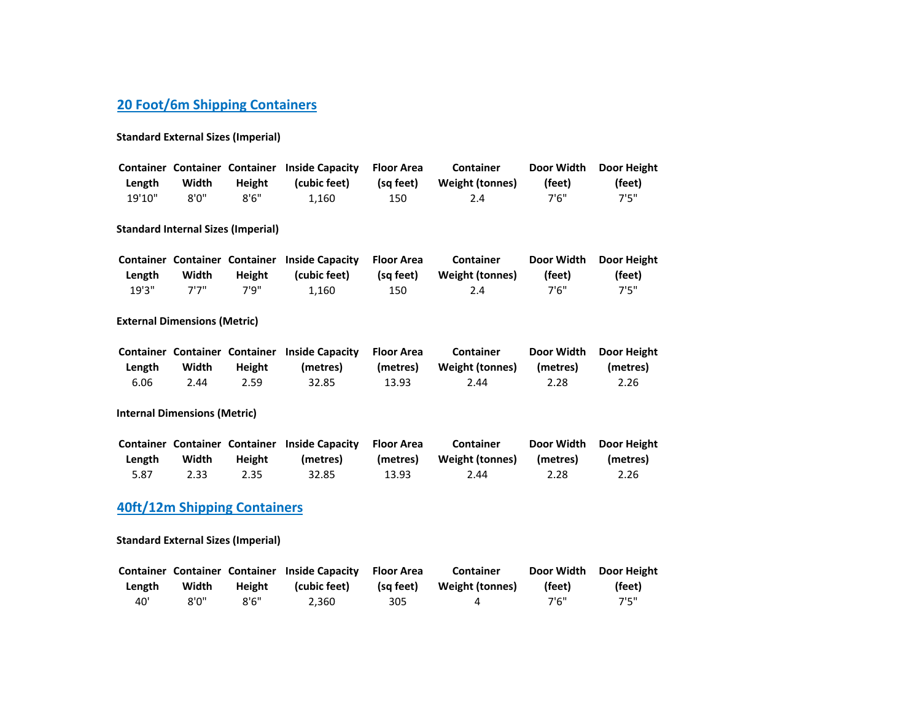# **20 Foot/6m Shipping Containers**

#### **Standard External Sizes (Imperial)**

|        |       |               | Container Container Container Inside Capacity Floor Area |           | <b>Container</b> | Door Width | <b>Door Height</b> |
|--------|-------|---------------|----------------------------------------------------------|-----------|------------------|------------|--------------------|
| Length | Width | <b>Height</b> | (cubic feet)                                             | (sa feet) | Weight (tonnes)  | (feet)     | (feet)             |
| 19'10" | 8'0"  | 8'6''         | 1.160                                                    | 150       | 2.4              | 7'6"       | フ'5"               |

#### **Standard Internal Sizes (Imperial)**

|        |       |        | Container Container Container Inside Capacity Floor Area |           | <b>Container</b> |        | Door Width Door Height |
|--------|-------|--------|----------------------------------------------------------|-----------|------------------|--------|------------------------|
| Length | Width | Height | (cubic feet)                                             | (sa feet) | Weight (tonnes)  | (feet) | (feet)                 |
| 19'3"  | フリフリ  | 7'9"   | 1.160                                                    | 150       | 2.4              | 7'6"   | <b>7'5"</b>            |

#### **External Dimensions (Metric)**

|        |       |               | Container Container Container Inside Capacity Floor Area |          | Container       |          | Door Width Door Height |
|--------|-------|---------------|----------------------------------------------------------|----------|-----------------|----------|------------------------|
| Length | Width | <b>Height</b> | (metres)                                                 | (metres) | Weight (tonnes) | (metres) | (metres)               |
| 6.06   | 2.44  | 2.59          | 32.85                                                    | 13.93    | 2.44            | 2.28     | 2.26                   |

#### **Internal Dimensions (Metric)**

|        |       |        | Container Container Container Inside Capacity Floor Area |       | <b>Container</b>                  |      | Door Width Door Height |
|--------|-------|--------|----------------------------------------------------------|-------|-----------------------------------|------|------------------------|
| Length | Width | Height | (metres)                                                 |       | (metres) Weight (tonnes) (metres) |      | (metres)               |
| 5.87   | 2.33  | 2.35   | 32.85                                                    | 13.93 | 2.44                              | 2.28 | 2.26                   |

## **40ft/12m Shipping Containers**

#### **Standard External Sizes (Imperial)**

|        |       |        | Container Container Container Inside Capacity Floor Area |           | Container       |        | Door Width Door Height |
|--------|-------|--------|----------------------------------------------------------|-----------|-----------------|--------|------------------------|
| Length | Width | Height | (cubic feet)                                             | (sa feet) | Weight (tonnes) | (feet) | (feet)                 |
| 40'    | 8'0'' | 8'6''  | 2.360                                                    | 305       | 4               | 7'6"   | 7'5"                   |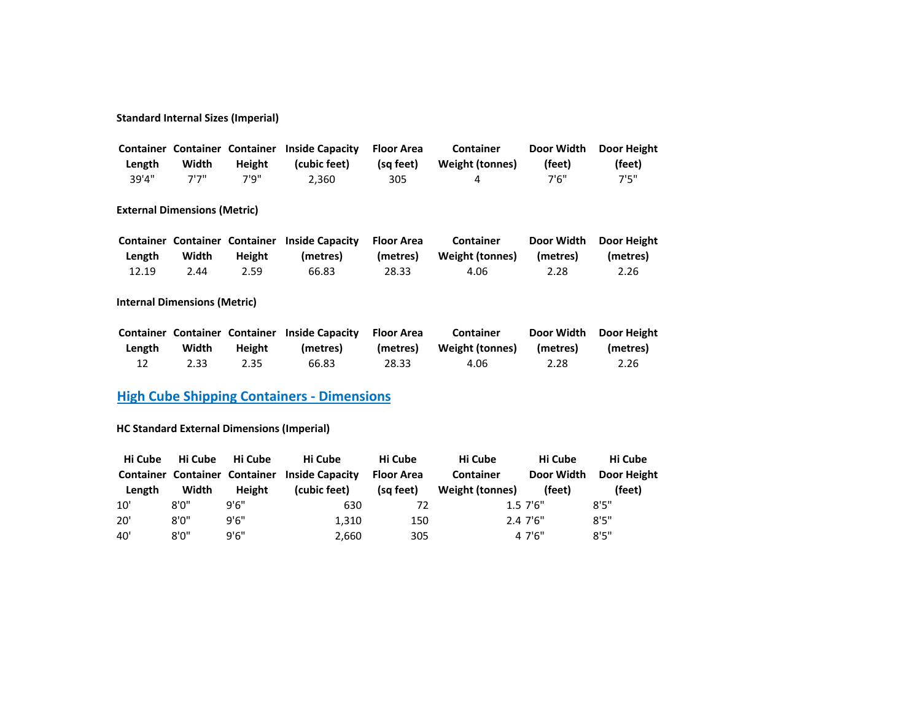## **Standard Internal Sizes (Imperial)**

|        |       |               | <b>Container Container Container Inside Capacity</b> | Floor Area | Container       | Door Width | <b>Door Height</b> |
|--------|-------|---------------|------------------------------------------------------|------------|-----------------|------------|--------------------|
| Length | Width | <b>Height</b> | (cubic feet)                                         | (sa feet)  | Weight (tonnes) | (feet)     | (feet)             |
| 39'4"  | フリフリ  | 7'9"          | 2.360                                                | 305        | Δ               | 7'6"       | 7'5"               |

#### **External Dimensions (Metric)**

|        |       |        | Container Container Container Inside Capacity Floor Area |          | Container       | Door Width | <b>Door Height</b> |
|--------|-------|--------|----------------------------------------------------------|----------|-----------------|------------|--------------------|
| Length | Width | Height | (metres)                                                 | (metres) | Weight (tonnes) | (metres)   | (metres)           |
| 12.19  | 2.44  | 2.59   | 66.83                                                    | 28.33    | 4.06            | 2.28       | 2.26               |

## **Internal Dimensions (Metric)**

|        |       |        | Container Container Container Inside Capacity Floor Area |          | <b>Container</b> | Door Width | <b>Door Height</b> |
|--------|-------|--------|----------------------------------------------------------|----------|------------------|------------|--------------------|
| Length | Width | Height | (metres)                                                 | (metres) | Weight (tonnes)  | (metres)   | (metres)           |
| 12     | 2.33  | 2.35   | 66.83                                                    | 28.33    | 4.06             | 2.28       | 2.26               |

## **High Cube Shipping Containers - Dimensions**

## **HC Standard External Dimensions (Imperial)**

| Hi Cube | Hi Cube                       | Hi Cube | Hi Cube                | Hi Cube           | Hi Cube          | Hi Cube     | Hi Cube     |
|---------|-------------------------------|---------|------------------------|-------------------|------------------|-------------|-------------|
|         | Container Container Container |         | <b>Inside Capacity</b> | <b>Floor Area</b> | <b>Container</b> | Door Width  | Door Height |
| Length  | Width                         | Height  | (cubic feet)           | (sa feet)         | Weight (tonnes)  | (feet)      | (feet)      |
| 10'     | 8'0''                         | 9'6"    | 630                    | 72                |                  | $1.57'$ 6"  | 8'5''       |
| 20'     | 8'0''                         | 9'6''   | 1.310                  | 150               |                  | $2.47'$ '6" | 8'5''       |
| 40'     | 8'0''                         | 9'6''   | 2,660                  | 305               |                  | 4 7'6"      | 8'5''       |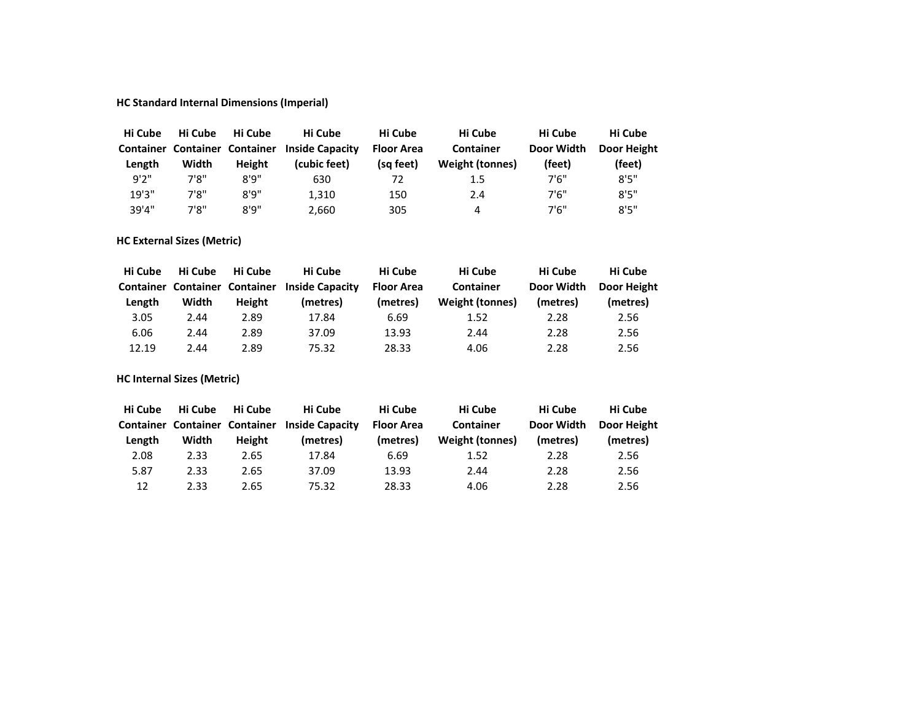## **HC Standard Internal Dimensions (Imperial)**

| Hi Cube | Hi Cube                       | Hi Cube | Hi Cube                | Hi Cube           | Hi Cube          | Hi Cube    | Hi Cube     |
|---------|-------------------------------|---------|------------------------|-------------------|------------------|------------|-------------|
|         | Container Container Container |         | <b>Inside Capacity</b> | <b>Floor Area</b> | <b>Container</b> | Door Width | Door Height |
| Length  | Width                         | Height  | (cubic feet)           | (sq feet)         | Weight (tonnes)  | (feet)     | (feet)      |
| 9'2''   | 7'8"                          | 8'9''   | 630                    | 72                | 1.5              | 7'6"       | 8'5''       |
| 19'3''  | 7'8"                          | 8'9''   | 1.310                  | 150               | 2.4              | 7'6''      | 8'5''       |
| 39'4"   | 7'8"                          | 8'9''   | 2,660                  | 305               | 4                | 7'6''      | 8'5''       |

## **HC External Sizes (Metric)**

| Hi Cube                              | Hi Cube | Hi Cube | Hi Cube                | Hi Cube           | Hi Cube                | Hi Cube    | Hi Cube     |
|--------------------------------------|---------|---------|------------------------|-------------------|------------------------|------------|-------------|
| <b>Container Container Container</b> |         |         | <b>Inside Capacity</b> | <b>Floor Area</b> | <b>Container</b>       | Door Width | Door Height |
| Length                               | Width   | Height  | (metres)               | (metres)          | <b>Weight (tonnes)</b> | (metres)   | (metres)    |
| 3.05                                 | 2.44    | 2.89    | 17.84                  | 6.69              | 1.52                   | 2.28       | 2.56        |
| 6.06                                 | 2.44    | 2.89    | 37.09                  | 13.93             | 2.44                   | 2.28       | 2.56        |
| 12.19                                | 2.44    | 2.89    | 75.32                  | 28.33             | 4.06                   | 2.28       | 2.56        |

**HC Internal Sizes (Metric)**

| Hi Cube | Hi Cube | Hi Cube                              | Hi Cube                | Hi Cube    | Hi Cube          | Hi Cube    | Hi Cube     |
|---------|---------|--------------------------------------|------------------------|------------|------------------|------------|-------------|
|         |         | <b>Container Container Container</b> | <b>Inside Capacity</b> | Floor Area | <b>Container</b> | Door Width | Door Height |
| Length  | Width   | Height                               | (metres)               | (metres)   | Weight (tonnes)  | (metres)   | (metres)    |
| 2.08    | 2.33    | 2.65                                 | 17.84                  | 6.69       | 1.52             | 2.28       | 2.56        |
| 5.87    | 2.33    | 2.65                                 | 37.09                  | 13.93      | 2.44             | 2.28       | 2.56        |
| 12      | 2.33    | 2.65                                 | 75.32                  | 28.33      | 4.06             | 2.28       | 2.56        |
|         |         |                                      |                        |            |                  |            |             |